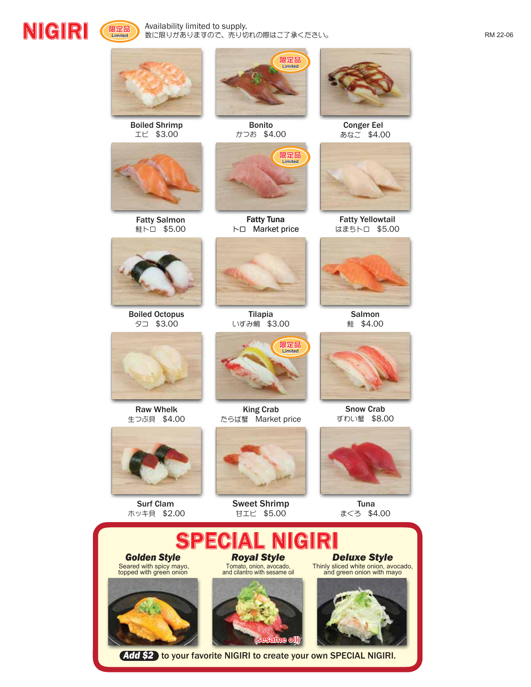





**限定品 Limited**

Boiled Shrimp エビ \$3.00



Fatty Salmon 鮭トロ \$5.00



Boiled Octopus タコ \$3.00



Raw Whelk 生つぶ貝 \$4.00



Surf Clam ホッキ貝 \$2.00



Bonito かつお \$4.00

**限定品 Limited**

**限定品 Limited**

Fatty Tuna トロ Market price

King Crab たらば蟹 Market price



Sweet Shrimp 甘エビ \$5.00



Conger Eel あなご \$4.00



Fatty Yellowtail はまちトロ \$5.00



Salmon 鮭 \$4.00



Snow Crab ずわい蟹 \$8.00



Tuna まぐろ \$4.00



*Add \$2* to your favorite NIGIRI to create your own SPECIAL NIGIRI.

(sesame oil)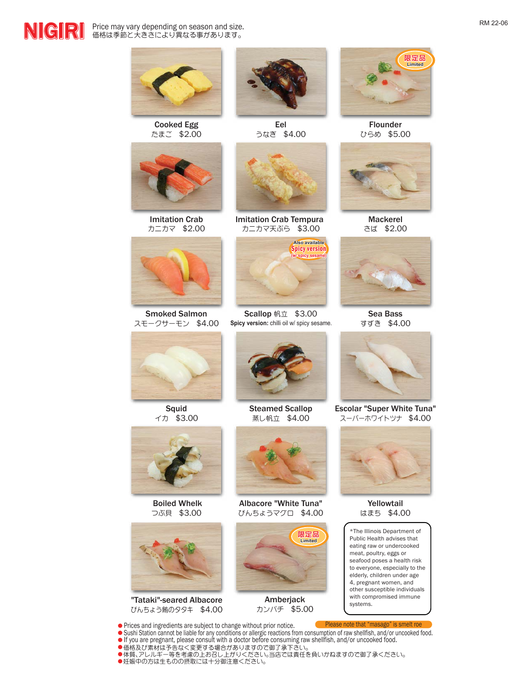**NIGIRI** Price may vary depending on season and size. Price may vary depending on season and size.



Cooked Egg たまご \$2.00



Imitation Crab カニカマ \$2.00



Smoked Salmon スモークサーモン \$4.00



Squid イカ \$3.00

![](_page_1_Picture_10.jpeg)

Boiled Whelk つぶ貝 \$3.00

![](_page_1_Picture_12.jpeg)

"Tataki"-seared Albacore びんちょう鮪のタタキ \$4.00

![](_page_1_Picture_14.jpeg)

Eel うなぎ \$4.00

![](_page_1_Picture_16.jpeg)

Imitation Crab Tempura カニカマ天ぷら \$3.00

![](_page_1_Picture_18.jpeg)

Scallop 帆立 \$3.00 Sea Bass **Spicy version:** chilli oil w/ spicy sesame.

![](_page_1_Picture_20.jpeg)

Steamed Scallop 蒸し帆立 \$4.00

![](_page_1_Picture_22.jpeg)

Albacore "White Tuna" びんちょうマグロ \$4.00

![](_page_1_Picture_24.jpeg)

Amberjack カンパチ \$5.00

![](_page_1_Picture_26.jpeg)

Flounder ひらめ \$5.00

![](_page_1_Picture_28.jpeg)

Mackerel さば \$2.00

![](_page_1_Picture_30.jpeg)

すずき \$4.00

![](_page_1_Picture_32.jpeg)

Escolar "Super White Tuna" スーパーホワイトツナ \$4.00

![](_page_1_Picture_34.jpeg)

Yellowtail はまち \$4.00

\*The Illinois Department of Public Health advises that eating raw or undercooked meat, poultry, eggs or seafood poses a health risk to everyone, especially to the elderly, children under age 4, pregnant women, and other susceptible individuals with compromised immune<br>systems.

Please note that "masago" is smelt roe

Prices and ingredients are subject to change without prior notice. Sushi Station cannot be liable for any conditions or allergic reactions from consumption of raw shellfish, and/or uncooked food.<br>If you are pregnant, please consult with a doctor before consuming raw shellfish, and/or unco

- 価格及び素材は予告なく変更する場合がありますので御了承下さい。
- 体質、アレルギー等を考慮の上お召し上がりください。当店では責任を負いかねますので御了承ください。 ●妊娠中の方は生ものの摂取には十分御注意ください。